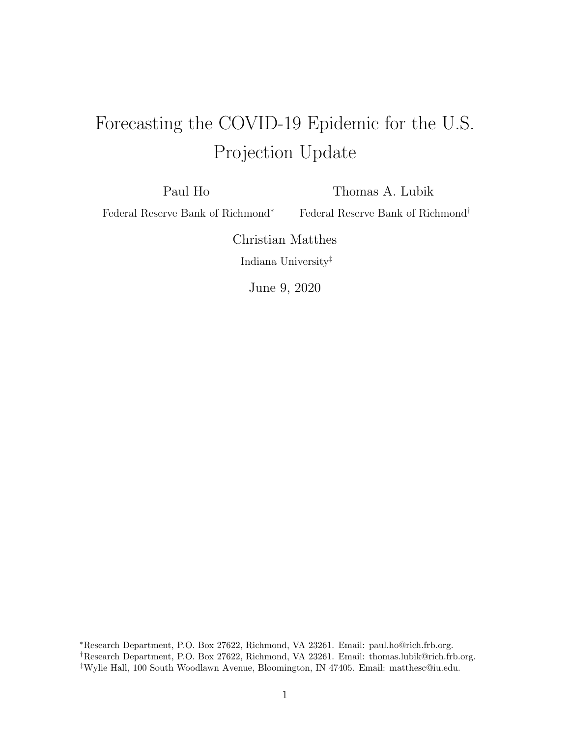## Forecasting the COVID-19 Epidemic for the U.S. Projection Update

Paul Ho

Thomas A. Lubik

Federal Reserve Bank of Richmond<sup>∗</sup>

Federal Reserve Bank of Richmond†

Christian Matthes Indiana University‡

June 9, 2020

<sup>∗</sup>Research Department, P.O. Box 27622, Richmond, VA 23261. Email: paul.ho@rich.frb.org. †Research Department, P.O. Box 27622, Richmond, VA 23261. Email: thomas.lubik@rich.frb.org. ‡Wylie Hall, 100 South Woodlawn Avenue, Bloomington, IN 47405. Email: matthesc@iu.edu.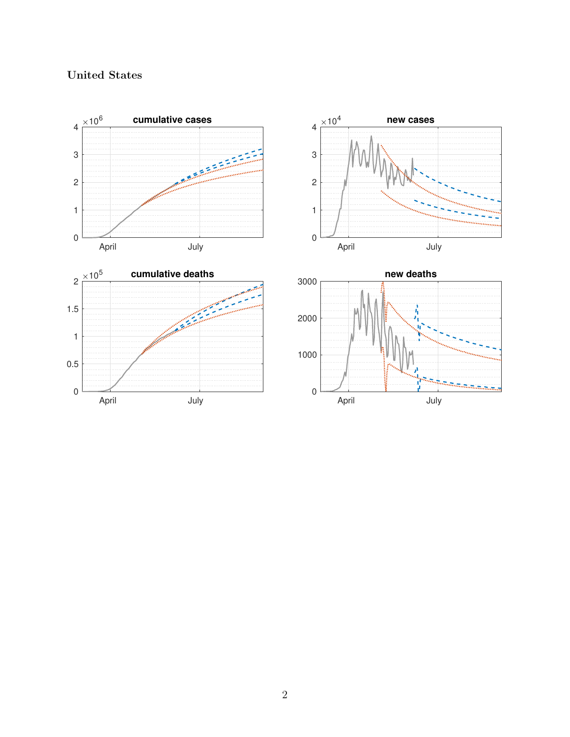## United States

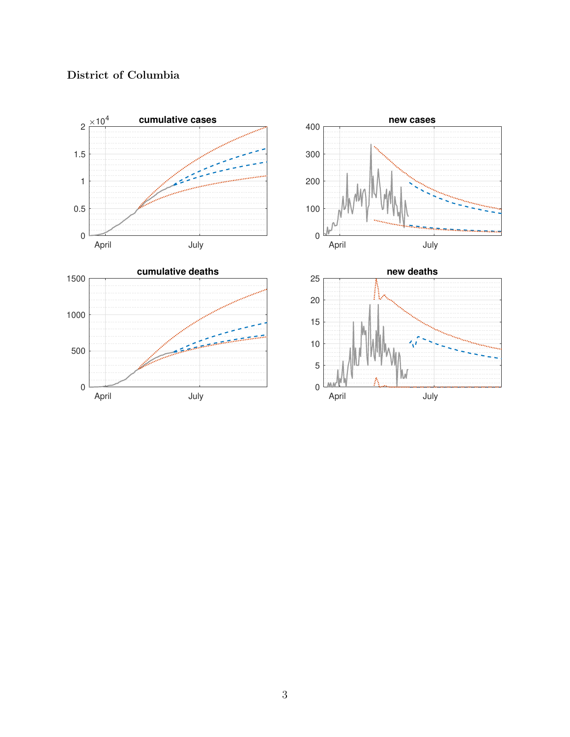

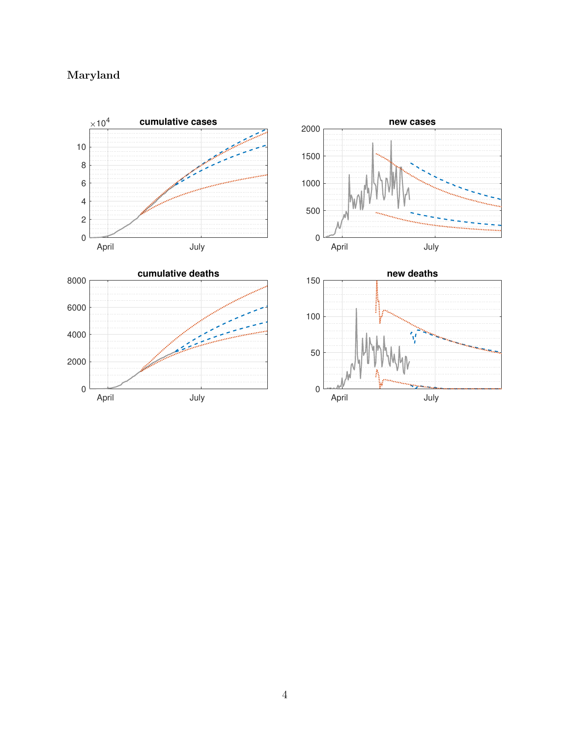## Maryland

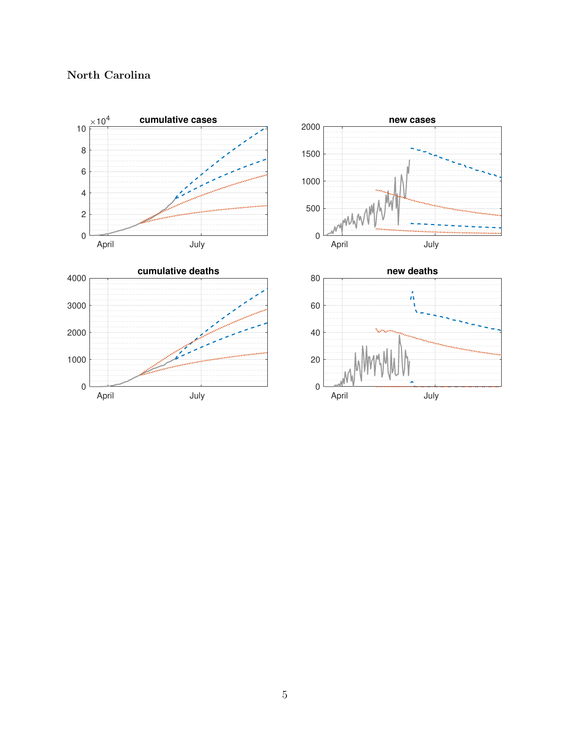

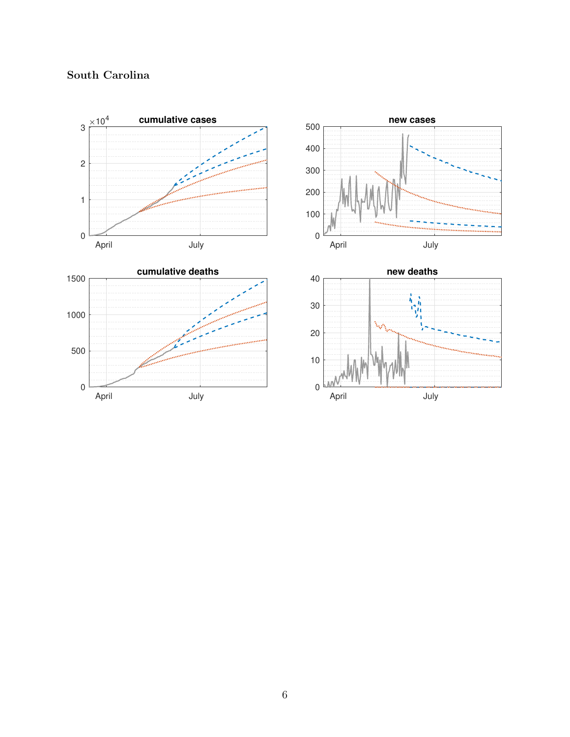

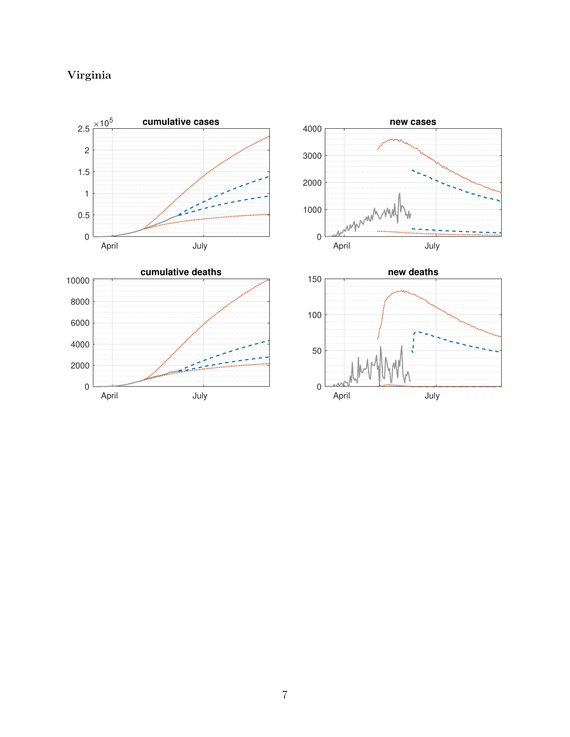